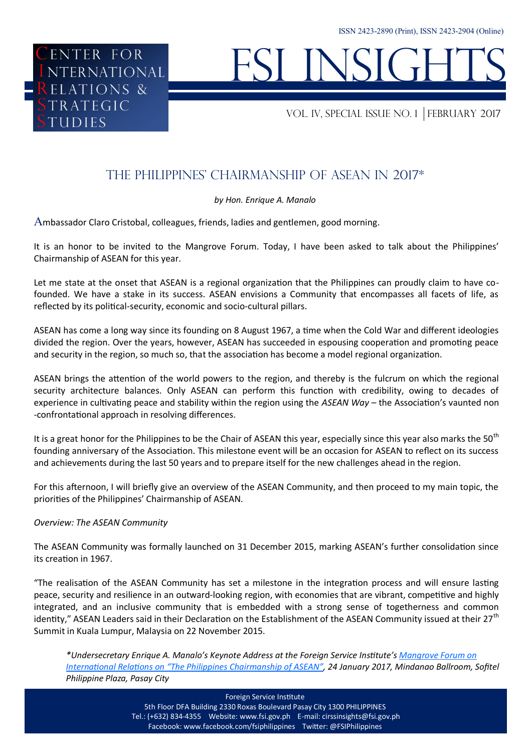# I INSIG

VOL. IV, special issue NO. 1 february 2017

# The Philippines' Chairmanship of ASEAN in 2017\*

### *by Hon. Enrique A. Manalo*

Ambassador Claro Cristobal, colleagues, friends, ladies and gentlemen, good morning.

It is an honor to be invited to the Mangrove Forum. Today, I have been asked to talk about the Philippines' Chairmanship of ASEAN for this year.

Let me state at the onset that ASEAN is a regional organization that the Philippines can proudly claim to have cofounded. We have a stake in its success. ASEAN envisions a Community that encompasses all facets of life, as reflected by its political-security, economic and socio-cultural pillars.

ASEAN has come a long way since its founding on 8 August 1967, a time when the Cold War and different ideologies divided the region. Over the years, however, ASEAN has succeeded in espousing cooperation and promoting peace and security in the region, so much so, that the association has become a model regional organization.

ASEAN brings the attention of the world powers to the region, and thereby is the fulcrum on which the regional security architecture balances. Only ASEAN can perform this function with credibility, owing to decades of experience in cultivating peace and stability within the region using the *ASEAN Way* – the Association's vaunted non -confrontational approach in resolving differences.

It is a great honor for the Philippines to be the Chair of ASEAN this year, especially since this year also marks the 50<sup>th</sup> founding anniversary of the Association. This milestone event will be an occasion for ASEAN to reflect on its success and achievements during the last 50 years and to prepare itself for the new challenges ahead in the region.

For this afternoon, I will briefly give an overview of the ASEAN Community, and then proceed to my main topic, the priorities of the Philippines' Chairmanship of ASEAN.

### *Overview: The ASEAN Community*

ENTER FOR

**RELATIONS &** TRATEGIC

**UDIES** 

ENTER FOR<br>NTERNATIONAL<br>ELATIONS &

The ASEAN Community was formally launched on 31 December 2015, marking ASEAN's further consolidation since its creation in 1967.

"The realisation of the ASEAN Community has set a milestone in the integration process and will ensure lasting peace, security and resilience in an outward-looking region, with economies that are vibrant, competitive and highly integrated, and an inclusive community that is embedded with a strong sense of togetherness and common identity," ASEAN Leaders said in their Declaration on the Establishment of the ASEAN Community issued at their 27<sup>th</sup> Summit in Kuala Lumpur, Malaysia on 22 November 2015.

*\*Undersecretary Enrique A. Manalo's Keynote Address at the Foreign Service Institute's [Mangrove Forum on](http://www.fsi.gov.ph/asean-at-50-and-the-philippine-chairmanship-in-2017/)  [International Relations on "The Philippines Chairmanship of ASEAN",](http://www.fsi.gov.ph/asean-at-50-and-the-philippine-chairmanship-in-2017/) 24 January 2017, Mindanao Ballroom, Sofitel Philippine Plaza, Pasay City*

Foreign Service Institute

5th Floor DFA Building 2330 Roxas Boulevard Pasay City 1300 PHILIPPINES Tel.: (+632) 834-4355 Website: www.fsi.gov.ph E-mail: cirssinsights@fsi.gov.ph Facebook: www.facebook.com/fsiphilippines Twitter: @FSIPhilippines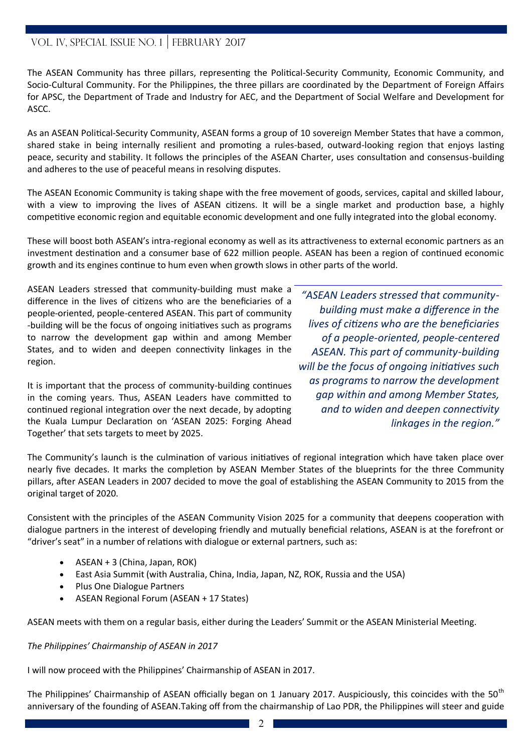# VOL. IV, SPECIAL ISSUE NO. 1 FEBRUARY 2017

The ASEAN Community has three pillars, representing the Political-Security Community, Economic Community, and Socio-Cultural Community. For the Philippines, the three pillars are coordinated by the Department of Foreign Affairs for APSC, the Department of Trade and Industry for AEC, and the Department of Social Welfare and Development for ASCC.

As an ASEAN Political-Security Community, ASEAN forms a group of 10 sovereign Member States that have a common, shared stake in being internally resilient and promoting a rules-based, outward-looking region that enjoys lasting peace, security and stability. It follows the principles of the ASEAN Charter, uses consultation and consensus-building and adheres to the use of peaceful means in resolving disputes.

The ASEAN Economic Community is taking shape with the free movement of goods, services, capital and skilled labour, with a view to improving the lives of ASEAN citizens. It will be a single market and production base, a highly competitive economic region and equitable economic development and one fully integrated into the global economy.

These will boost both ASEAN's intra-regional economy as well as its attractiveness to external economic partners as an investment destination and a consumer base of 622 million people. ASEAN has been a region of continued economic growth and its engines continue to hum even when growth slows in other parts of the world.

ASEAN Leaders stressed that community-building must make a difference in the lives of citizens who are the beneficiaries of a people-oriented, people-centered ASEAN. This part of community -building will be the focus of ongoing initiatives such as programs to narrow the development gap within and among Member States, and to widen and deepen connectivity linkages in the region.

It is important that the process of community-building continues in the coming years. Thus, ASEAN Leaders have committed to continued regional integration over the next decade, by adopting the Kuala Lumpur Declaration on 'ASEAN 2025: Forging Ahead Together' that sets targets to meet by 2025.

*"ASEAN Leaders stressed that communitybuilding must make a difference in the lives of citizens who are the beneficiaries of a people-oriented, people-centered ASEAN. This part of community-building will be the focus of ongoing initiatives such as programs to narrow the development gap within and among Member States, and to widen and deepen connectivity linkages in the region."*

The Community's launch is the culmination of various initiatives of regional integration which have taken place over nearly five decades. It marks the completion by ASEAN Member States of the blueprints for the three Community pillars, after ASEAN Leaders in 2007 decided to move the goal of establishing the ASEAN Community to 2015 from the original target of 2020.

Consistent with the principles of the ASEAN Community Vision 2025 for a community that deepens cooperation with dialogue partners in the interest of developing friendly and mutually beneficial relations, ASEAN is at the forefront or "driver's seat" in a number of relations with dialogue or external partners, such as:

- ASEAN + 3 (China, Japan, ROK)
- East Asia Summit (with Australia, China, India, Japan, NZ, ROK, Russia and the USA)
- Plus One Dialogue Partners
- ASEAN Regional Forum (ASEAN + 17 States)

ASEAN meets with them on a regular basis, either during the Leaders' Summit or the ASEAN Ministerial Meeting.

*The Philippines' Chairmanship of ASEAN in 2017*

I will now proceed with the Philippines' Chairmanship of ASEAN in 2017.

The Philippines' Chairmanship of ASEAN officially began on 1 January 2017. Auspiciously, this coincides with the 50<sup>th</sup> anniversary of the founding of ASEAN.Taking off from the chairmanship of Lao PDR, the Philippines will steer and guide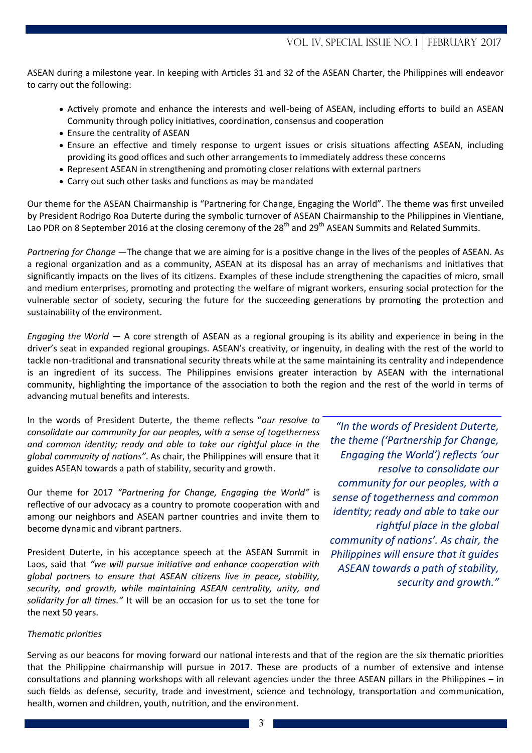ASEAN during a milestone year. In keeping with Articles 31 and 32 of the ASEAN Charter, the Philippines will endeavor to carry out the following:

- Actively promote and enhance the interests and well-being of ASEAN, including efforts to build an ASEAN Community through policy initiatives, coordination, consensus and cooperation
- Ensure the centrality of ASEAN
- Ensure an effective and timely response to urgent issues or crisis situations affecting ASEAN, including providing its good offices and such other arrangements to immediately address these concerns
- Represent ASEAN in strengthening and promoting closer relations with external partners
- Carry out such other tasks and functions as may be mandated

Our theme for the ASEAN Chairmanship is "Partnering for Change, Engaging the World". The theme was first unveiled by President Rodrigo Roa Duterte during the symbolic turnover of ASEAN Chairmanship to the Philippines in Vientiane, Lao PDR on 8 September 2016 at the closing ceremony of the 28<sup>th</sup> and 29<sup>th</sup> ASEAN Summits and Related Summits.

*Partnering for Change —*The change that we are aiming for is a positive change in the lives of the peoples of ASEAN. As a regional organization and as a community, ASEAN at its disposal has an array of mechanisms and initiatives that significantly impacts on the lives of its citizens. Examples of these include strengthening the capacities of micro, small and medium enterprises, promoting and protecting the welfare of migrant workers, ensuring social protection for the vulnerable sector of society, securing the future for the succeeding generations by promoting the protection and sustainability of the environment.

*Engaging the World —* A core strength of ASEAN as a regional grouping is its ability and experience in being in the driver's seat in expanded regional groupings. ASEAN's creativity, or ingenuity, in dealing with the rest of the world to tackle non-traditional and transnational security threats while at the same maintaining its centrality and independence is an ingredient of its success. The Philippines envisions greater interaction by ASEAN with the international community, highlighting the importance of the association to both the region and the rest of the world in terms of advancing mutual benefits and interests.

In the words of President Duterte, the theme reflects "*our resolve to consolidate our community for our peoples, with a sense of togetherness and common identity; ready and able to take our rightful place in the global community of nations"*. As chair, the Philippines will ensure that it guides ASEAN towards a path of stability, security and growth.

Our theme for 2017 *"Partnering for Change, Engaging the World"* is reflective of our advocacy as a country to promote cooperation with and among our neighbors and ASEAN partner countries and invite them to become dynamic and vibrant partners.

President Duterte, in his acceptance speech at the ASEAN Summit in Laos, said that *"we will pursue initiative and enhance cooperation with global partners to ensure that ASEAN citizens live in peace, stability, security, and growth, while maintaining ASEAN centrality, unity, and solidarity for all times."* It will be an occasion for us to set the tone for the next 50 years.

*"In the words of President Duterte, the theme ('Partnership for Change, Engaging the World') reflects 'our resolve to consolidate our community for our peoples, with a sense of togetherness and common identity; ready and able to take our rightful place in the global community of nations'. As chair, the Philippines will ensure that it guides ASEAN towards a path of stability, security and growth."*

### *Thematic priorities*

Serving as our beacons for moving forward our national interests and that of the region are the six thematic priorities that the Philippine chairmanship will pursue in 2017. These are products of a number of extensive and intense consultations and planning workshops with all relevant agencies under the three ASEAN pillars in the Philippines – in such fields as defense, security, trade and investment, science and technology, transportation and communication, health, women and children, youth, nutrition, and the environment.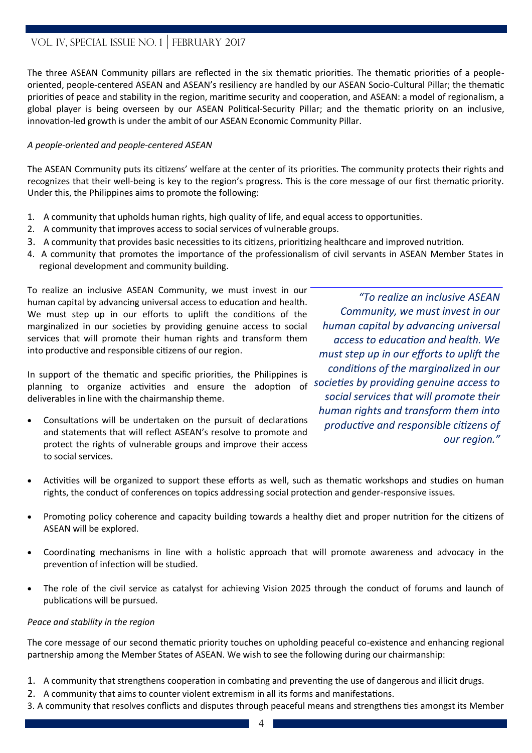# VOL. IV, SPECIAL ISSUE NO. 1 FEBRUARY 2017

The three ASEAN Community pillars are reflected in the six thematic priorities. The thematic priorities of a peopleoriented, people-centered ASEAN and ASEAN's resiliency are handled by our ASEAN Socio-Cultural Pillar; the thematic priorities of peace and stability in the region, maritime security and cooperation, and ASEAN: a model of regionalism, a global player is being overseen by our ASEAN Political-Security Pillar; and the thematic priority on an inclusive, innovation-led growth is under the ambit of our ASEAN Economic Community Pillar.

### *A people-oriented and people-centered ASEAN*

The ASEAN Community puts its citizens' welfare at the center of its priorities. The community protects their rights and recognizes that their well-being is key to the region's progress. This is the core message of our first thematic priority. Under this, the Philippines aims to promote the following:

- 1. A community that upholds human rights, high quality of life, and equal access to opportunities.
- 2. A community that improves access to social services of vulnerable groups.
- 3. A community that provides basic necessities to its citizens, prioritizing healthcare and improved nutrition.
- 4. A community that promotes the importance of the professionalism of civil servants in ASEAN Member States in regional development and community building.

To realize an inclusive ASEAN Community, we must invest in our human capital by advancing universal access to education and health. We must step up in our efforts to uplift the conditions of the marginalized in our societies by providing genuine access to social services that will promote their human rights and transform them into productive and responsible citizens of our region.

In support of the thematic and specific priorities, the Philippines is planning to organize activities and ensure the adoption of deliverables in line with the chairmanship theme.

 Consultations will be undertaken on the pursuit of declarations and statements that will reflect ASEAN's resolve to promote and protect the rights of vulnerable groups and improve their access to social services.

*"To realize an inclusive ASEAN Community, we must invest in our human capital by advancing universal access to education and health. We must step up in our efforts to uplift the conditions of the marginalized in our societies by providing genuine access to social services that will promote their human rights and transform them into productive and responsible citizens of our region."*

- Activities will be organized to support these efforts as well, such as thematic workshops and studies on human rights, the conduct of conferences on topics addressing social protection and gender-responsive issues.
- Promoting policy coherence and capacity building towards a healthy diet and proper nutrition for the citizens of ASEAN will be explored.
- Coordinating mechanisms in line with a holistic approach that will promote awareness and advocacy in the prevention of infection will be studied.
- The role of the civil service as catalyst for achieving Vision 2025 through the conduct of forums and launch of publications will be pursued.

### *Peace and stability in the region*

The core message of our second thematic priority touches on upholding peaceful co-existence and enhancing regional partnership among the Member States of ASEAN. We wish to see the following during our chairmanship:

- 1. A community that strengthens cooperation in combating and preventing the use of dangerous and illicit drugs.
- 2. A community that aims to counter violent extremism in all its forms and manifestations.
- 3. A community that resolves conflicts and disputes through peaceful means and strengthens ties amongst its Member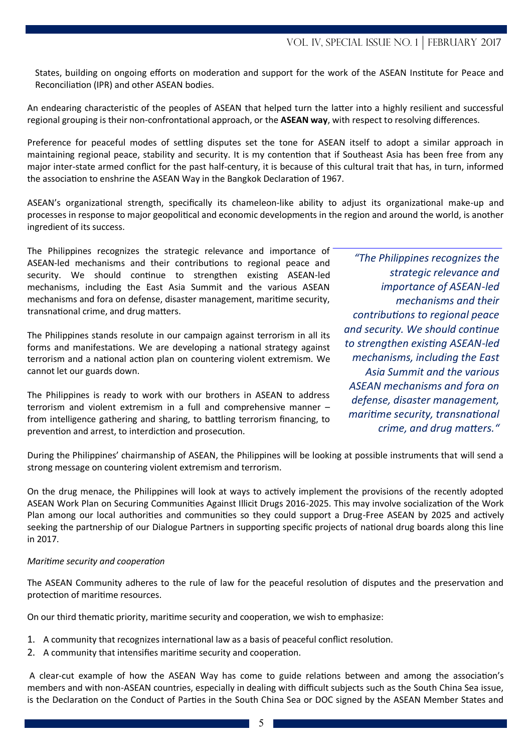States, building on ongoing efforts on moderation and support for the work of the ASEAN Institute for Peace and Reconciliation (IPR) and other ASEAN bodies.

An endearing characteristic of the peoples of ASEAN that helped turn the latter into a highly resilient and successful regional grouping is their non-confrontational approach, or the **ASEAN way**, with respect to resolving differences.

Preference for peaceful modes of settling disputes set the tone for ASEAN itself to adopt a similar approach in maintaining regional peace, stability and security. It is my contention that if Southeast Asia has been free from any major inter-state armed conflict for the past half-century, it is because of this cultural trait that has, in turn, informed the association to enshrine the ASEAN Way in the Bangkok Declaration of 1967.

ASEAN's organizational strength, specifically its chameleon-like ability to adjust its organizational make-up and processes in response to major geopolitical and economic developments in the region and around the world, is another ingredient of its success.

The Philippines recognizes the strategic relevance and importance of ASEAN-led mechanisms and their contributions to regional peace and security. We should continue to strengthen existing ASEAN-led mechanisms, including the East Asia Summit and the various ASEAN mechanisms and fora on defense, disaster management, maritime security, transnational crime, and drug matters.

The Philippines stands resolute in our campaign against terrorism in all its forms and manifestations. We are developing a national strategy against terrorism and a national action plan on countering violent extremism. We cannot let our guards down.

The Philippines is ready to work with our brothers in ASEAN to address terrorism and violent extremism in a full and comprehensive manner – from intelligence gathering and sharing, to battling terrorism financing, to prevention and arrest, to interdiction and prosecution.

*"The Philippines recognizes the strategic relevance and importance of ASEAN-led mechanisms and their contributions to regional peace and security. We should continue to strengthen existing ASEAN-led mechanisms, including the East Asia Summit and the various ASEAN mechanisms and fora on defense, disaster management, maritime security, transnational crime, and drug matters."*

During the Philippines' chairmanship of ASEAN, the Philippines will be looking at possible instruments that will send a strong message on countering violent extremism and terrorism.

On the drug menace, the Philippines will look at ways to actively implement the provisions of the recently adopted ASEAN Work Plan on Securing Communities Against Illicit Drugs 2016-2025. This may involve socialization of the Work Plan among our local authorities and communities so they could support a Drug-Free ASEAN by 2025 and actively seeking the partnership of our Dialogue Partners in supporting specific projects of national drug boards along this line in 2017.

### *Maritime security and cooperation*

The ASEAN Community adheres to the rule of law for the peaceful resolution of disputes and the preservation and protection of maritime resources.

On our third thematic priority, maritime security and cooperation, we wish to emphasize:

- 1. A community that recognizes international law as a basis of peaceful conflict resolution.
- 2. A community that intensifies maritime security and cooperation.

A clear-cut example of how the ASEAN Way has come to guide relations between and among the association's members and with non-ASEAN countries, especially in dealing with difficult subjects such as the South China Sea issue, is the Declaration on the Conduct of Parties in the South China Sea or DOC signed by the ASEAN Member States and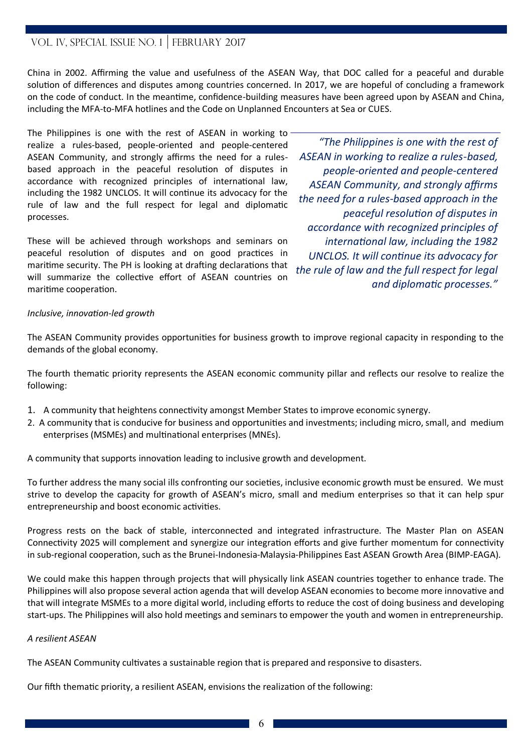# VOL. IV, SPECIAL ISSUE NO. 1 FEBRUARY 2017

China in 2002. Affirming the value and usefulness of the ASEAN Way, that DOC called for a peaceful and durable solution of differences and disputes among countries concerned. In 2017, we are hopeful of concluding a framework on the code of conduct. In the meantime, confidence-building measures have been agreed upon by ASEAN and China, including the MFA-to-MFA hotlines and the Code on Unplanned Encounters at Sea or CUES.

The Philippines is one with the rest of ASEAN in working to realize a rules-based, people-oriented and people-centered ASEAN Community, and strongly affirms the need for a rulesbased approach in the peaceful resolution of disputes in accordance with recognized principles of international law, including the 1982 UNCLOS. It will continue its advocacy for the rule of law and the full respect for legal and diplomatic processes.

These will be achieved through workshops and seminars on peaceful resolution of disputes and on good practices in maritime security. The PH is looking at drafting declarations that will summarize the collective effort of ASEAN countries on maritime cooperation.

*"The Philippines is one with the rest of ASEAN in working to realize a rules-based, people-oriented and people-centered ASEAN Community, and strongly affirms the need for a rules-based approach in the peaceful resolution of disputes in accordance with recognized principles of international law, including the 1982 UNCLOS. It will continue its advocacy for the rule of law and the full respect for legal and diplomatic processes."* 

### *Inclusive, innovation-led growth*

The ASEAN Community provides opportunities for business growth to improve regional capacity in responding to the demands of the global economy.

The fourth thematic priority represents the ASEAN economic community pillar and reflects our resolve to realize the following:

- 1. A community that heightens connectivity amongst Member States to improve economic synergy.
- 2. A community that is conducive for business and opportunities and investments; including micro, small, and medium enterprises (MSMEs) and multinational enterprises (MNEs).

A community that supports innovation leading to inclusive growth and development.

To further address the many social ills confronting our societies, inclusive economic growth must be ensured. We must strive to develop the capacity for growth of ASEAN's micro, small and medium enterprises so that it can help spur entrepreneurship and boost economic activities.

Progress rests on the back of stable, interconnected and integrated infrastructure. The Master Plan on ASEAN Connectivity 2025 will complement and synergize our integration efforts and give further momentum for connectivity in sub-regional cooperation, such as the Brunei-Indonesia-Malaysia-Philippines East ASEAN Growth Area (BIMP-EAGA).

We could make this happen through projects that will physically link ASEAN countries together to enhance trade. The Philippines will also propose several action agenda that will develop ASEAN economies to become more innovative and that will integrate MSMEs to a more digital world, including efforts to reduce the cost of doing business and developing start-ups. The Philippines will also hold meetings and seminars to empower the youth and women in entrepreneurship.

### *A resilient ASEAN*

The ASEAN Community cultivates a sustainable region that is prepared and responsive to disasters.

Our fifth thematic priority, a resilient ASEAN, envisions the realization of the following: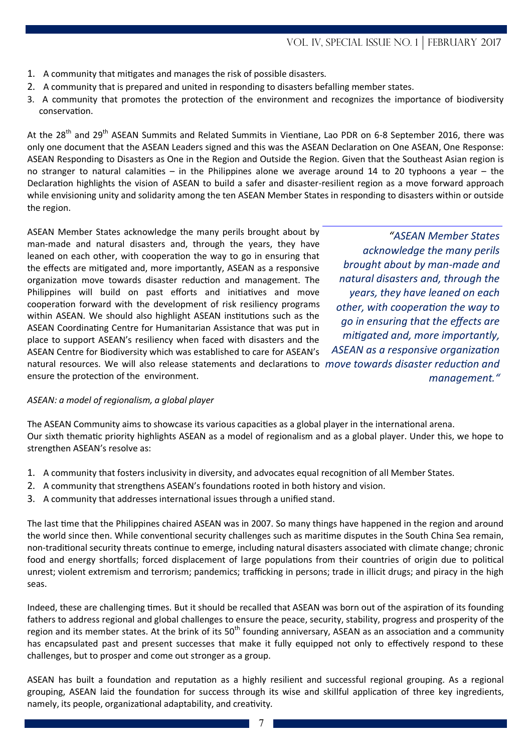- 1. A community that mitigates and manages the risk of possible disasters.
- 2. A community that is prepared and united in responding to disasters befalling member states.
- 3. A community that promotes the protection of the environment and recognizes the importance of biodiversity conservation.

At the 28<sup>th</sup> and 29<sup>th</sup> ASEAN Summits and Related Summits in Vientiane, Lao PDR on 6-8 September 2016, there was only one document that the ASEAN Leaders signed and this was the ASEAN Declaration on One ASEAN, One Response: ASEAN Responding to Disasters as One in the Region and Outside the Region. Given that the Southeast Asian region is no stranger to natural calamities – in the Philippines alone we average around 14 to 20 typhoons a year – the Declaration highlights the vision of ASEAN to build a safer and disaster-resilient region as a move forward approach while envisioning unity and solidarity among the ten ASEAN Member States in responding to disasters within or outside the region.

ASEAN Member States acknowledge the many perils brought about by man-made and natural disasters and, through the years, they have leaned on each other, with cooperation the way to go in ensuring that the effects are mitigated and, more importantly, ASEAN as a responsive organization move towards disaster reduction and management. The Philippines will build on past efforts and initiatives and move cooperation forward with the development of risk resiliency programs within ASEAN. We should also highlight ASEAN institutions such as the ASEAN Coordinating Centre for Humanitarian Assistance that was put in place to support ASEAN's resiliency when faced with disasters and the ASEAN Centre for Biodiversity which was established to care for ASEAN's natural resources. We will also release statements and declarations to *move towards disaster reduction and*  ensure the protection of the environment.

*"ASEAN Member States acknowledge the many perils brought about by man-made and natural disasters and, through the years, they have leaned on each other, with cooperation the way to go in ensuring that the effects are mitigated and, more importantly, ASEAN as a responsive organization management."*

### *ASEAN: a model of regionalism, a global player*

The ASEAN Community aims to showcase its various capacities as a global player in the international arena. Our sixth thematic priority highlights ASEAN as a model of regionalism and as a global player. Under this, we hope to strengthen ASEAN's resolve as:

- 1. A community that fosters inclusivity in diversity, and advocates equal recognition of all Member States.
- 2. A community that strengthens ASEAN's foundations rooted in both history and vision.
- 3. A community that addresses international issues through a unified stand.

The last time that the Philippines chaired ASEAN was in 2007. So many things have happened in the region and around the world since then. While conventional security challenges such as maritime disputes in the South China Sea remain, non-traditional security threats continue to emerge, including natural disasters associated with climate change; chronic food and energy shortfalls; forced displacement of large populations from their countries of origin due to political unrest; violent extremism and terrorism; pandemics; trafficking in persons; trade in illicit drugs; and piracy in the high seas.

Indeed, these are challenging times. But it should be recalled that ASEAN was born out of the aspiration of its founding fathers to address regional and global challenges to ensure the peace, security, stability, progress and prosperity of the region and its member states. At the brink of its  $50<sup>th</sup>$  founding anniversary, ASEAN as an association and a community has encapsulated past and present successes that make it fully equipped not only to effectively respond to these challenges, but to prosper and come out stronger as a group.

ASEAN has built a foundation and reputation as a highly resilient and successful regional grouping. As a regional grouping, ASEAN laid the foundation for success through its wise and skillful application of three key ingredients, namely, its people, organizational adaptability, and creativity.